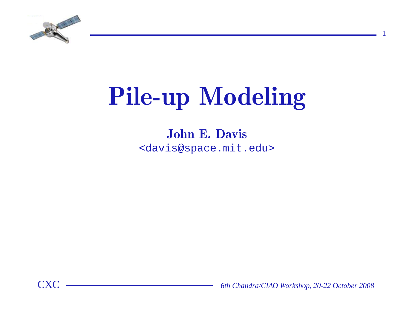

# Pile-up Modeling

#### John E. Davis<davis@space.mit.edu>



*6th Chandra/CIAO Workshop, 20-22 October <sup>2008</sup>*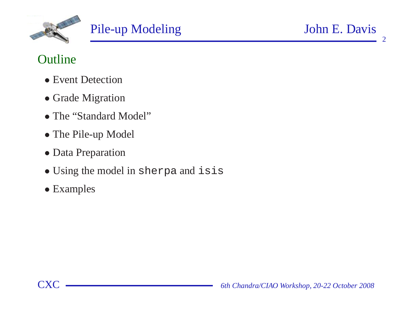

#### **Outline**

- Event Detection
- Grade Migration
- The "Standard Model"
- The Pile-up Model
- Data Preparation
- Using the model in sherpa and isis
- Examples

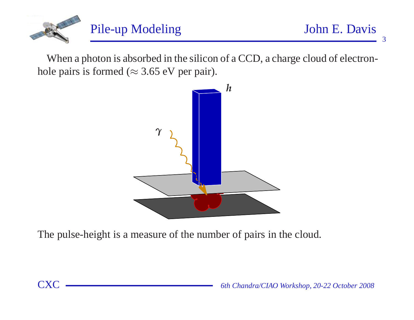

When <sup>a</sup> photon is absorbed in the silicon of <sup>a</sup> CCD, <sup>a</sup> charge cloud of electronhole pairs is formed ( $\approx$  3.65 eV per pair).



The pulse-height is <sup>a</sup> measure of the number of pairs in the cloud.

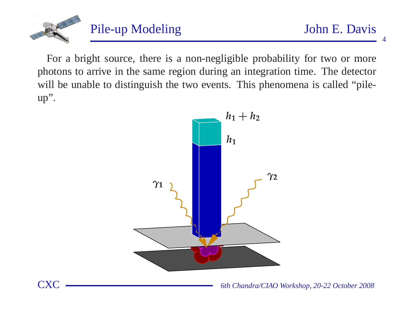

4

For <sup>a</sup> bright source, there is <sup>a</sup> non-negligible probability for two or more photons to arrive in the same region during an integration time. The detectorwill be unable to distinguish the two events. This phenomena is called "pileup".

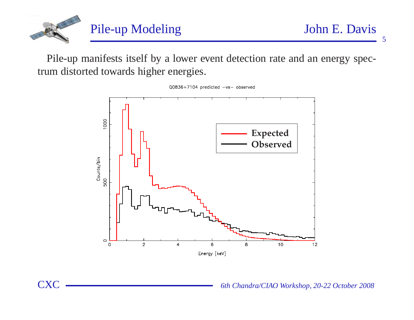

5

Pile-up manifests itself by <sup>a</sup> lower event detection rate and an energy spectrum distorted towards higher energies.

Q0836+7104 predicted -vs- observed

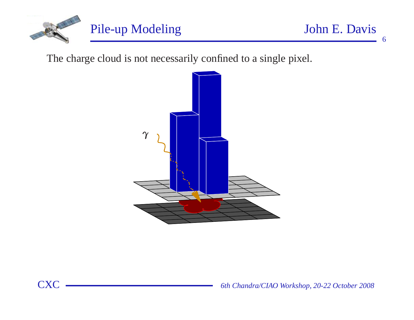

The charge cloud is not necessarily confined to <sup>a</sup> single pixel.



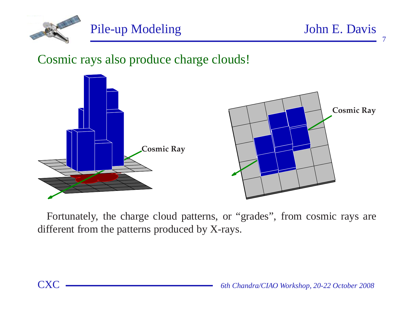

7

#### Cosmic rays also produce charge clouds!



Fortunately, the charge cloud patterns, or "grades", from cosmic rays aredifferent from the patterns produced by X-rays.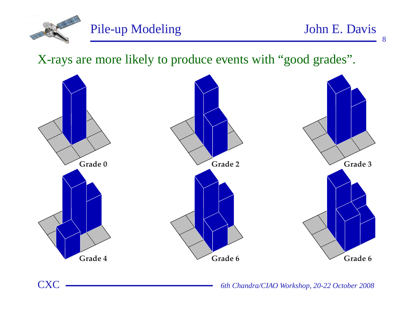

8

X-rays are more likely to produce events with "good grades".

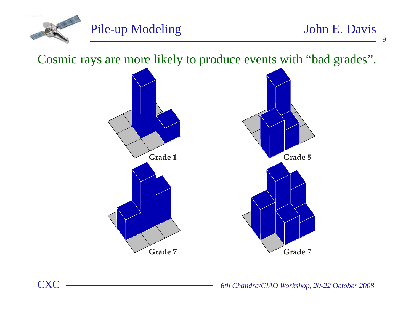

Cosmic rays are more likely to produce events with "bad grades".



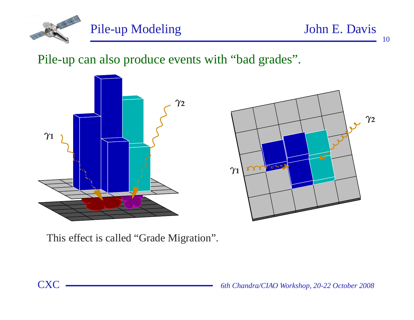

Pile-up can also produce events with "bad grades".





This effect is called "Grade Migration".

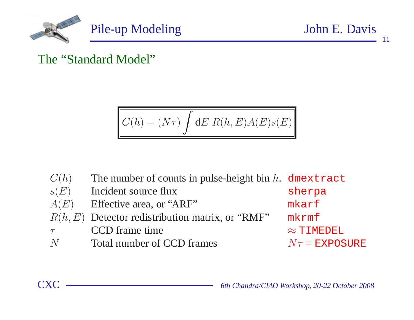

#### The "Standard Model"

$$
C(h) = (N\tau) \int \mathrm{d}E \; R(h,E) A(E) s(E)
$$

 $C(h)$ ) The number of counts in pulse-height bin  $h$ . dmextract  $s(E)$  Incident source flux sherpa mkarf $A(E)$  Effective area, or "ARF" mkrmf $R(h, E)$  Detector redistribution matrix, or "RMF"  $\approx$  TIMEDEL  $\tau$  CCD frame time $N$  Total number of CCD frames  $N\tau$ N $=$  EXPOSURE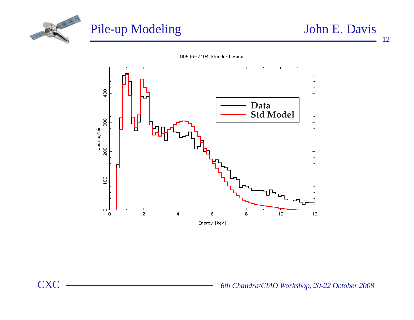





Q0836+7104 Standard Model



*6th Chandra/CIAO Workshop, 20-22 October <sup>2008</sup>*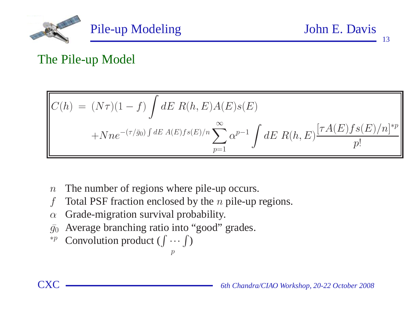

### The Pile-up Model

$$
C(h) = (N\tau)(1 - f) \int dE \ R(h, E) A(E) s(E)
$$
  
+Nne<sup>-(\tau/\bar{g}\_0) \int dE \ A(E) f s(E)/n \sum\_{p=1}^{\infty} \alpha^{p-1} \int dE \ R(h, E) \frac{[\tau A(E) f s(E)/n]^{\*p}}{p!}</sup>

- $n_{\parallel}$ The number of regions where <sup>p</sup>ile-up occurs.
- ff Total PSF fraction enclosed by the  $n$  pile-up regions.
- $\alpha$ Grade-migration survival probability.
- $\bar{g}_0$  Average branching ratio into "good" grades.
- ∗p<sup>*p*</sup> Convolution product  $(\int \cdots \int)$

$$
p \\
$$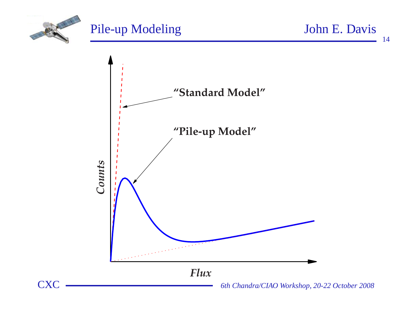



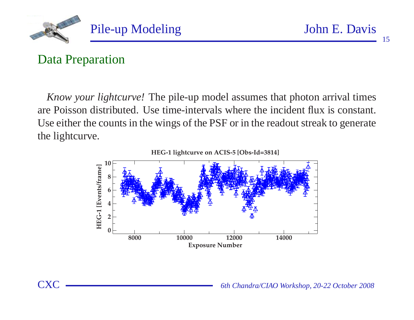

#### Data Preparation

**CXC** 

*Know your lightcurve!* The <sup>p</sup>ile-up model assumes that <sup>p</sup>hoton arrival times are Poisson distributed. Use time-intervals where the incident flux is constant. Use either the counts in the wings of the PSF or in the readout streak to generatethe lightcurve.

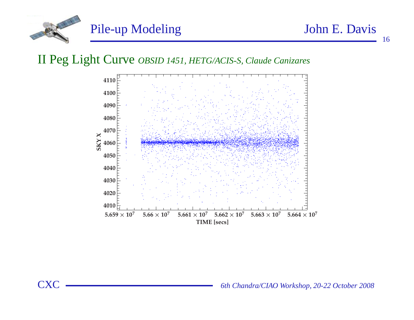

# II Peg Light Curve *OBSID 1451, HETG/ACIS-S, Claude Canizares*



*6th Chandra/CIAO Workshop, 20-22 October <sup>2008</sup>*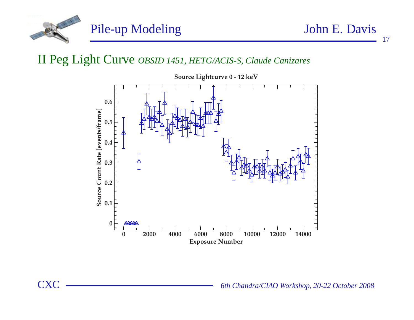

II Peg Light Curve *OBSID 1451, HETG/ACIS-S, Claude Canizares*



**Source Lightcurve <sup>0</sup> - <sup>12</sup> keV**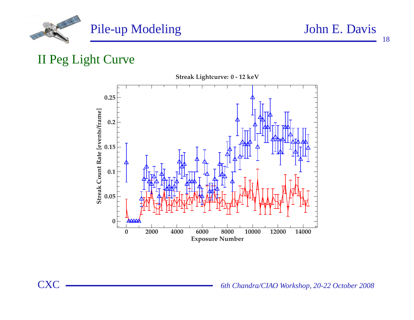Pile-up Modeling John E. Davis

#### II Peg Light Curve



*6th Chandra/CIAO Workshop, 20-22 October <sup>2008</sup>*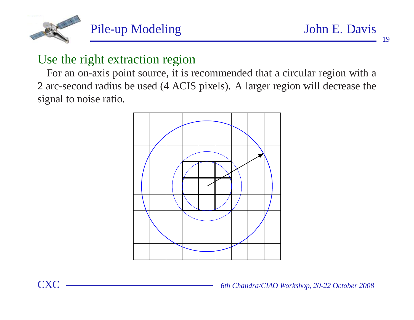

19

#### Use the right extraction region

 For an on-axis point source, it is recommended that <sup>a</sup> circular region with <sup>a</sup> 2 arc-second radius be used (4 ACIS pixels). A larger region will decrease thesignal to noise ratio.

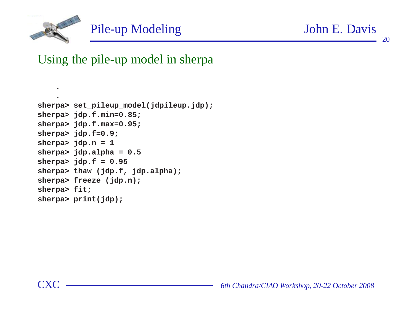

**.**

20

Using the pile-up model in sherpa

```
.
sherpa> set_pileup_model(jdpileup.jdp);
sherpa> jdp.f.min=0.85;
sherpa> jdp.f.max=0.95;
sherpa> jdp.f=0.9;
sherpa> jdp.n = 1
sherpa> jdp.alpha = 0.5
sherpa> jdp.f = 0.95
sherpa> thaw (jdp.f, jdp.alpha);
sherpa> freeze (jdp.n);
sherpa> fit;
sherpa> print(jdp);
```
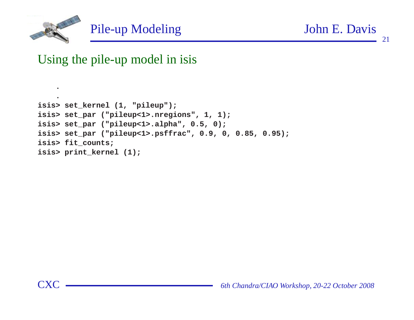

**.**

#### Using the pile-up model in isis

```
.
isis> set_kernel (1, "pileup");
isis> set_par ("pileup<1>.nregions", 1, 1);
isis> set_par ("pileup<1>.alpha", 0.5, 0);
isis> set_par ("pileup<1>.psffrac", 0.9, 0, 0.85, 0.95);
isis> fit_counts;
isis> print_kernel (1);
```
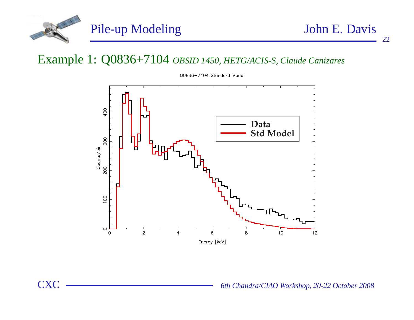

22

# Example 1: Q0836+7104 *OBSID 1450, HETG/ACIS-S, Claude Canizares*

400 **DataStd Model** 300 Counts/bin 200  $100$  $\circ$  $\overline{2}$  $\sqrt{6}$  $\overline{8}$  $\circ$  $\overline{4}$ 10  $12$ Energy [keV]

Q0836+7104 Standard Model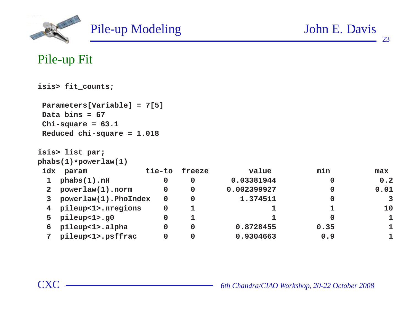

#### Pile-up Fit

**isis> fit\_counts; Parameters[Variable] <sup>=</sup> 7[5] Data bins <sup>=</sup> <sup>67</sup> Chi-square <sup>=</sup> 63.1 Reduced chi-square <sup>=</sup> 1.018 isis> list\_par; phabs(1)\*powerlaw(1)**idx param **idx param tie-to freeze value min max <sup>1</sup> phabs(1).nH <sup>0</sup> <sup>0</sup> 0.03381944 <sup>0</sup> 0.2 <sup>2</sup> powerlaw(1).norm <sup>0</sup> <sup>0</sup> 0.002399927 <sup>0</sup> 0.01 <sup>3</sup> powerlaw(1).PhoIndex <sup>0</sup> <sup>0</sup> 1.374511 <sup>0</sup> <sup>3</sup> <sup>4</sup> pileup<1>.nregions <sup>0</sup> <sup>1</sup> <sup>1</sup> <sup>1</sup> <sup>10</sup> <sup>5</sup> pileup<1>.g0 <sup>0</sup> <sup>1</sup> <sup>1</sup> <sup>0</sup> <sup>1</sup> <sup>6</sup> pileup<1>.alpha <sup>0</sup> <sup>0</sup> 0.8728455 0.35 <sup>1</sup> <sup>7</sup> pileup<1>.psffrac <sup>0</sup> <sup>0</sup> 0.9304663 0.9 <sup>1</sup>**

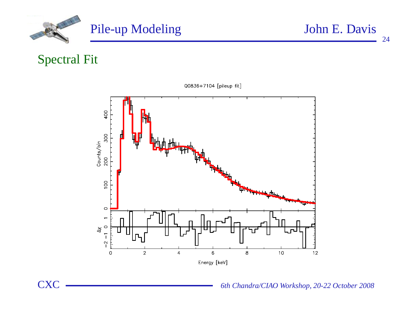

Spectral Fit



Q0836+7104 [pileup fit]

*6th Chandra/CIAO Workshop, 20-22 October <sup>2008</sup>*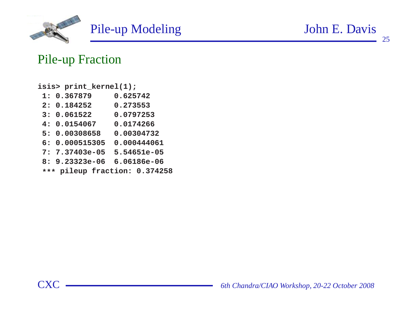

#### Pile-up Fraction

**isis> print\_kernel(1);**

| 1: 0.367879      | 0.625742                      |
|------------------|-------------------------------|
| 2: 0.184252      | 0.273553                      |
| 3: 0.061522      | 0.0797253                     |
| 4: 0.0154067     | 0.0174266                     |
| 5: 0.00308658    | 0.00304732                    |
| 6: 0.000515305   | 0.000444061                   |
| $7: 7.37403e-05$ | 5.54651e-05                   |
| $8: 9.23323e-06$ | $6.06186e-06$                 |
|                  | *** pileup fraction: 0.374258 |
|                  |                               |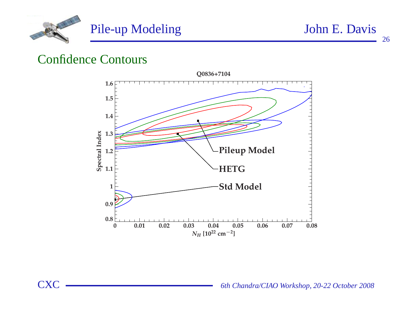

#### Confidence Contours



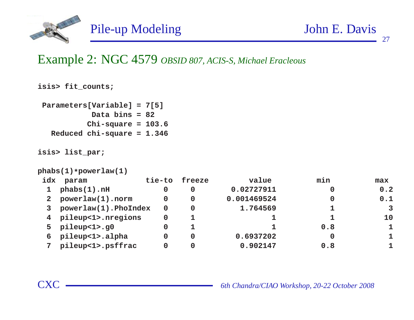

# Example 2: NGC 4579 *OBSID 807, ACIS-S, Michael Eracleous*

**isis> fit\_counts;**

```
Parameters[Variable] = 7[5]
           Data bins = 82
          Chi-square = 103.6
  Reduced chi-square = 1.346
```
**isis> list\_par;**

```
phabs(1)*powerlaw(1)
```

| idx            | param                 | tie-to | freeze | value       | min | max |
|----------------|-----------------------|--------|--------|-------------|-----|-----|
|                | $phabs(1)$ .nH        | 0      | 0      | 0.02727911  |     | 0.2 |
| 2 <sup>1</sup> | powerlaw(1).norm      | 0      | 0      | 0.001469524 |     | 0.1 |
|                | powerlaw(1). PhoIndex | 0      | 0      | 1.764569    |     | 3   |
| 4 <sup>1</sup> | pileup<1>.nregions    | 0      |        |             |     | 10  |
| 5              | pileup<1>.g0          | 0      |        |             | 0.8 |     |
| 6              | pileup<1>.alpha       | 0      | 0      | 0.6937202   |     |     |
|                | pileup<1>.psffrac     | 0      |        | 0.902147    | 0.8 |     |

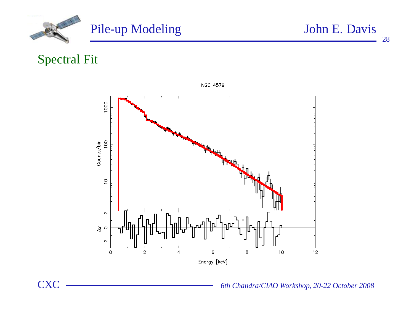

Spectral Fit

**CXC** 



NGC 4579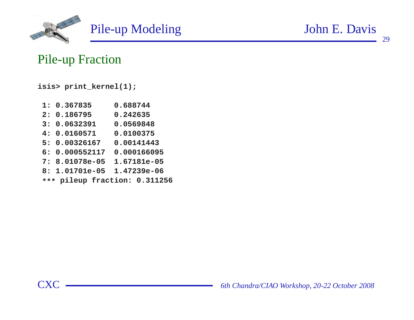

#### Pile-up Fraction

**isis> print\_kernel(1);**

| 1: 0.367835    | 0.688744                      |
|----------------|-------------------------------|
| 2: 0.186795    | 0.242635                      |
| 3: 0.0632391   | 0.0569848                     |
| 4: 0.0160571   | 0.0100375                     |
| 5: 0.00326167  | 0.00141443                    |
| 6: 0.000552117 | 0.000166095                   |
| 7: 8.01078e-05 | 1.67181e-05                   |
| 8: 1.01701e-05 | 1.47239e-06                   |
|                | *** pileup fraction: 0.311256 |
|                |                               |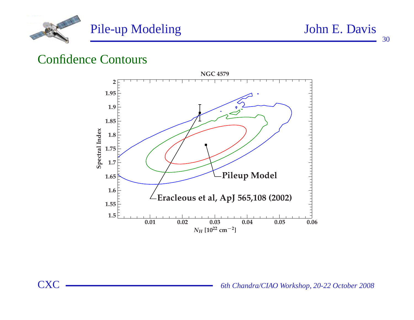

#### Confidence Contours



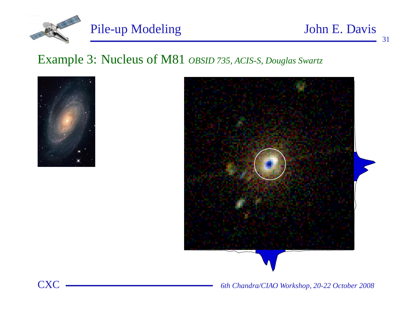

#### Pile-up Modeling John E. Davis

31

# Example 3: Nucleus of M81 *OBSID 735, ACIS-S, Douglas Swartz*





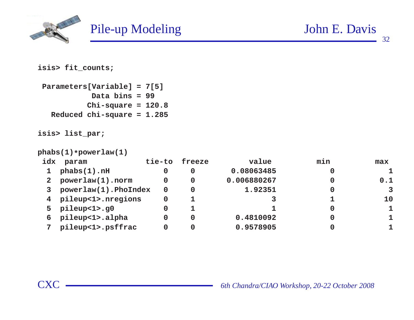

#### **isis> fit\_counts;**

```
Parameters[Variable] = 7[5]
           Data bins = 99
          Chi-square = 120.8
  Reduced chi-square = 1.285
```

```
isis> list_par;
```
**phabs(1)\*powerlaw(1)**

| idx            | param                 | tie-to | freeze | value       | min | max |
|----------------|-----------------------|--------|--------|-------------|-----|-----|
|                | $phabs(1)$ .nH        | 0      | 0      | 0.08063485  |     |     |
| 2 <sup>1</sup> | powerlaw(1).norm      | 0      | 0      | 0.006880267 |     | 0.1 |
|                | powerlaw(1). PhoIndex | 0      | 0      | 1.92351     |     | 3   |
|                | pileup<1>.nregions    | 0      |        |             |     | 10  |
| 5.             | pileup<1>.g0          | 0      |        |             |     |     |
| 6              | pileup<1>.alpha       | 0      | 0      | 0.4810092   |     |     |
|                | pileup<1>.psffrac     | 0      |        | 0.9578905   |     |     |

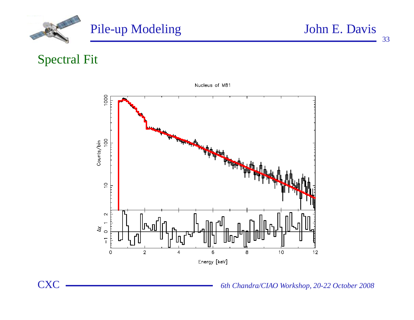

Spectral Fit



Nucleus of M81

*6th Chandra/CIAO Workshop, 20-22 October <sup>2008</sup>*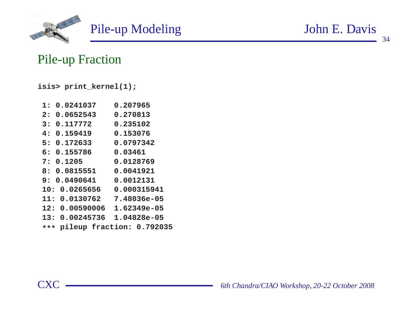

#### Pile-up Fraction

**isis> print\_kernel(1);**

|     | 1: 0.0241037               | 0.207965                  |
|-----|----------------------------|---------------------------|
|     | 2: 0.0652543               | 0.270813                  |
| 3 : | 0.117772                   | 0.235102                  |
|     | 4: 0.159419                | 0.153076                  |
|     | 5: 0.172633                | 0.0797342                 |
|     | <b>6: 0.155786</b>         | 0.03461                   |
|     | 7:0.1205                   | 0.0128769                 |
|     | 8: 0.0815551               | 0.0041921                 |
|     | 9: 0.0490641               | 0.0012131                 |
|     | 10: 0.0265656              | 0.000315941               |
|     | 11: 0.0130762              | 7.48036e-05               |
|     | 12: 0.00590006             | 1.62349e-05               |
|     | 13: 0.00245736 1.04828e-05 |                           |
| *** |                            | pileup fraction: 0.792035 |
|     |                            |                           |